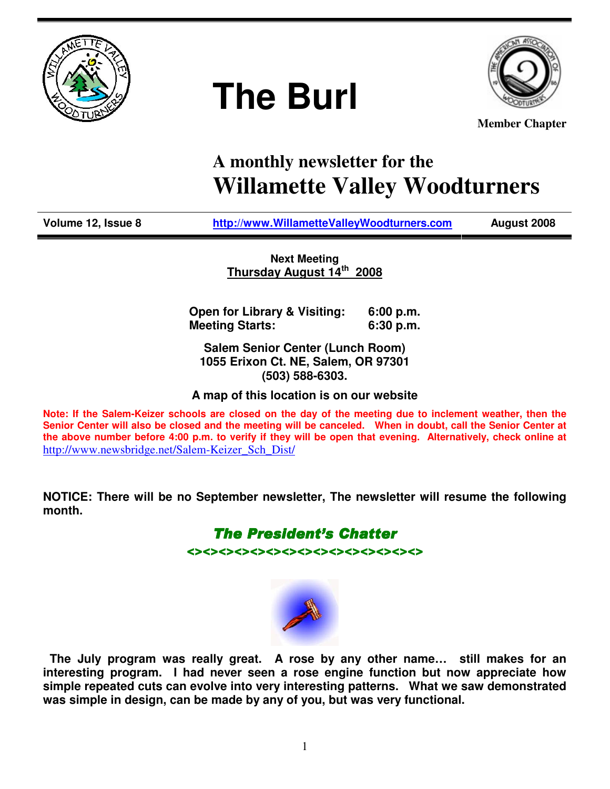

# **The Burl**



**Member Chapter**

# **A monthly newsletter for the Willamette Valley Woodturners**

**Volume 12, Issue 8 http://www.WillametteValleyWoodturners.com August 2008** 

**Next Meeting Thursday August 14th 2008**

**Open for Library & Visiting: 6:00 p.m. Meeting Starts: 6:30 p.m.** 

**Salem Senior Center (Lunch Room) 1055 Erixon Ct. NE, Salem, OR 97301 (503) 588-6303.** 

**A map of this location is on our website** 

**Note: If the Salem-Keizer schools are closed on the day of the meeting due to inclement weather, then the Senior Center will also be closed and the meeting will be canceled. When in doubt, call the Senior Center at the above number before 4:00 p.m. to verify if they will be open that evening. Alternatively, check online at**  http://www.newsbridge.net/Salem-Keizer\_Sch\_Dist/

**NOTICE: There will be no September newsletter, The newsletter will resume the following month.** 

> **The President's Chatter** <><><><><><><><><><><><><><><>



 **The July program was really great. A rose by any other name… still makes for an interesting program. I had never seen a rose engine function but now appreciate how simple repeated cuts can evolve into very interesting patterns. What we saw demonstrated was simple in design, can be made by any of you, but was very functional.**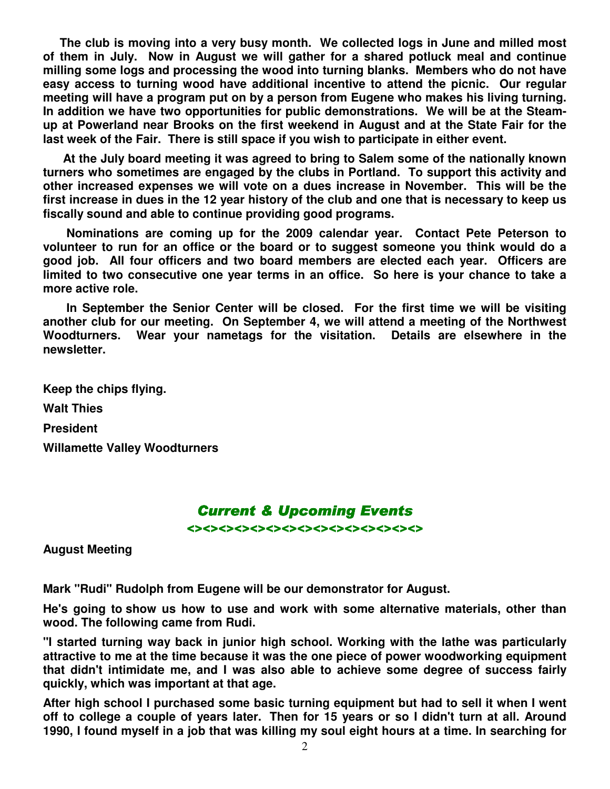**The club is moving into a very busy month. We collected logs in June and milled most of them in July. Now in August we will gather for a shared potluck meal and continue milling some logs and processing the wood into turning blanks. Members who do not have easy access to turning wood have additional incentive to attend the picnic. Our regular meeting will have a program put on by a person from Eugene who makes his living turning. In addition we have two opportunities for public demonstrations. We will be at the Steamup at Powerland near Brooks on the first weekend in August and at the State Fair for the last week of the Fair. There is still space if you wish to participate in either event.** 

 **At the July board meeting it was agreed to bring to Salem some of the nationally known turners who sometimes are engaged by the clubs in Portland. To support this activity and other increased expenses we will vote on a dues increase in November. This will be the first increase in dues in the 12 year history of the club and one that is necessary to keep us fiscally sound and able to continue providing good programs.** 

 **Nominations are coming up for the 2009 calendar year. Contact Pete Peterson to volunteer to run for an office or the board or to suggest someone you think would do a good job. All four officers and two board members are elected each year. Officers are limited to two consecutive one year terms in an office. So here is your chance to take a more active role.** 

 **In September the Senior Center will be closed. For the first time we will be visiting another club for our meeting. On September 4, we will attend a meeting of the Northwest Woodturners. Wear your nametags for the visitation. Details are elsewhere in the newsletter.** 

**Keep the chips flying. Walt Thies President Willamette Valley Woodturners** 

### **Current & Upcoming Events**

 $\leftrightarrow$ 

**August Meeting** 

**Mark "Rudi" Rudolph from Eugene will be our demonstrator for August.** 

**He's going to show us how to use and work with some alternative materials, other than wood. The following came from Rudi.** 

**"I started turning way back in junior high school. Working with the lathe was particularly attractive to me at the time because it was the one piece of power woodworking equipment that didn't intimidate me, and I was also able to achieve some degree of success fairly quickly, which was important at that age.** 

**After high school I purchased some basic turning equipment but had to sell it when I went off to college a couple of years later. Then for 15 years or so I didn't turn at all. Around 1990, I found myself in a job that was killing my soul eight hours at a time. In searching for**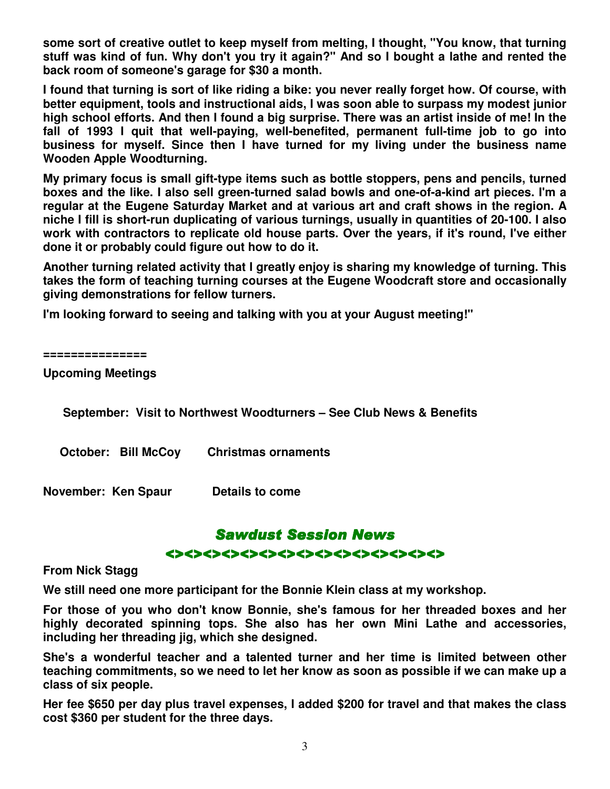**some sort of creative outlet to keep myself from melting, I thought, "You know, that turning stuff was kind of fun. Why don't you try it again?" And so I bought a lathe and rented the back room of someone's garage for \$30 a month.** 

**I found that turning is sort of like riding a bike: you never really forget how. Of course, with better equipment, tools and instructional aids, I was soon able to surpass my modest junior high school efforts. And then I found a big surprise. There was an artist inside of me! In the fall of 1993 I quit that well-paying, well-benefited, permanent full-time job to go into business for myself. Since then I have turned for my living under the business name Wooden Apple Woodturning.** 

**My primary focus is small gift-type items such as bottle stoppers, pens and pencils, turned boxes and the like. I also sell green-turned salad bowls and one-of-a-kind art pieces. I'm a regular at the Eugene Saturday Market and at various art and craft shows in the region. A niche I fill is short-run duplicating of various turnings, usually in quantities of 20-100. I also work with contractors to replicate old house parts. Over the years, if it's round, I've either done it or probably could figure out how to do it.** 

**Another turning related activity that I greatly enjoy is sharing my knowledge of turning. This takes the form of teaching turning courses at the Eugene Woodcraft store and occasionally giving demonstrations for fellow turners.** 

**I'm looking forward to seeing and talking with you at your August meeting!"** 

**===============** 

**Upcoming Meetings** 

 **September: Visit to Northwest Woodturners – See Club News & Benefits** 

 **October: Bill McCoy Christmas ornaments** 

**November: Ken Spaur Details to come** 

### **Sawdust Session News**

#### <><><><><><><><><><><><><><><>

#### **From Nick Stagg**

**We still need one more participant for the Bonnie Klein class at my workshop.** 

**For those of you who don't know Bonnie, she's famous for her threaded boxes and her highly decorated spinning tops. She also has her own Mini Lathe and accessories, including her threading jig, which she designed.** 

**She's a wonderful teacher and a talented turner and her time is limited between other teaching commitments, so we need to let her know as soon as possible if we can make up a class of six people.** 

**Her fee \$650 per day plus travel expenses, I added \$200 for travel and that makes the class cost \$360 per student for the three days.**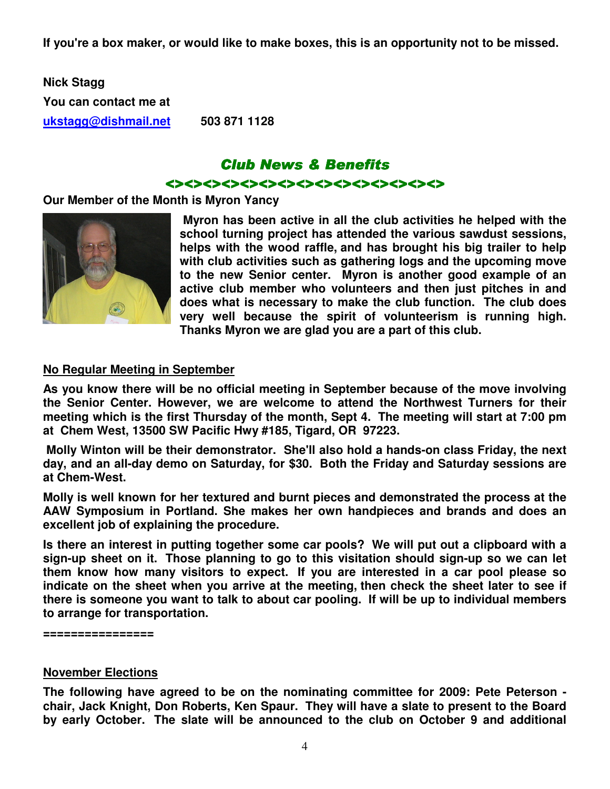**If you're a box maker, or would like to make boxes, this is an opportunity not to be missed.** 

**Nick Stagg You can contact me at ukstagg@dishmail.net 503 871 1128** 

## Club News & Benefits <><><><><><><><><><><><><><><>

#### **Our Member of the Month is Myron Yancy**



 **Myron has been active in all the club activities he helped with the school turning project has attended the various sawdust sessions, helps with the wood raffle, and has brought his big trailer to help with club activities such as gathering logs and the upcoming move to the new Senior center. Myron is another good example of an active club member who volunteers and then just pitches in and does what is necessary to make the club function. The club does very well because the spirit of volunteerism is running high. Thanks Myron we are glad you are a part of this club.** 

#### **No Regular Meeting in September**

**As you know there will be no official meeting in September because of the move involving the Senior Center. However, we are welcome to attend the Northwest Turners for their meeting which is the first Thursday of the month, Sept 4. The meeting will start at 7:00 pm at Chem West, 13500 SW Pacific Hwy #185, Tigard, OR 97223.** 

 **Molly Winton will be their demonstrator. She'll also hold a hands-on class Friday, the next day, and an all-day demo on Saturday, for \$30. Both the Friday and Saturday sessions are at Chem-West.** 

**Molly is well known for her textured and burnt pieces and demonstrated the process at the AAW Symposium in Portland. She makes her own handpieces and brands and does an excellent job of explaining the procedure.** 

**Is there an interest in putting together some car pools? We will put out a clipboard with a sign-up sheet on it. Those planning to go to this visitation should sign-up so we can let them know how many visitors to expect. If you are interested in a car pool please so indicate on the sheet when you arrive at the meeting, then check the sheet later to see if there is someone you want to talk to about car pooling. If will be up to individual members to arrange for transportation.** 

**================** 

#### **November Elections**

**The following have agreed to be on the nominating committee for 2009: Pete Peterson chair, Jack Knight, Don Roberts, Ken Spaur. They will have a slate to present to the Board by early October. The slate will be announced to the club on October 9 and additional**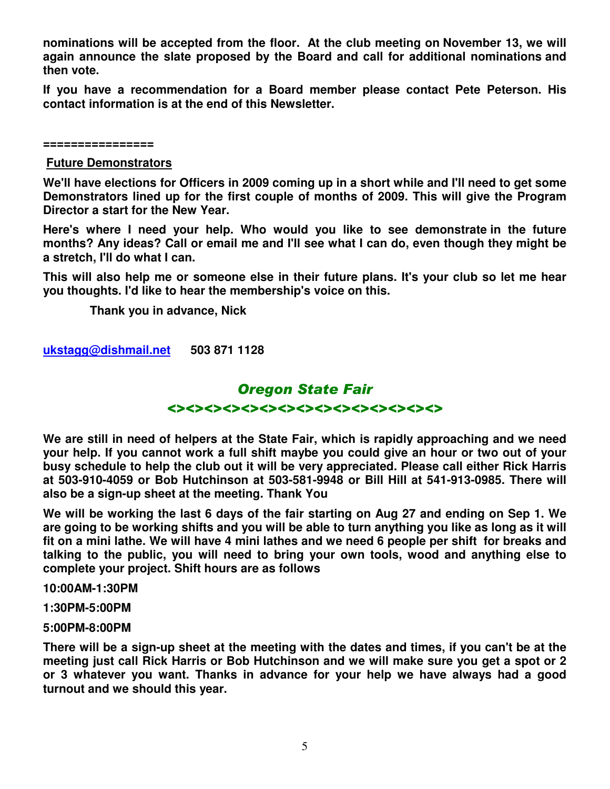**nominations will be accepted from the floor. At the club meeting on November 13, we will again announce the slate proposed by the Board and call for additional nominations and then vote.** 

**If you have a recommendation for a Board member please contact Pete Peterson. His contact information is at the end of this Newsletter.** 

**================** 

#### **Future Demonstrators**

**We'll have elections for Officers in 2009 coming up in a short while and I'll need to get some Demonstrators lined up for the first couple of months of 2009. This will give the Program Director a start for the New Year.** 

**Here's where I need your help. Who would you like to see demonstrate in the future months? Any ideas? Call or email me and I'll see what I can do, even though they might be a stretch, I'll do what I can.** 

**This will also help me or someone else in their future plans. It's your club so let me hear you thoughts. I'd like to hear the membership's voice on this.** 

 **Thank you in advance, Nick** 

**ukstagg@dishmail.net 503 871 1128** 

### Oregon State Fair

#### <><><><><><><><><><><><><><><>

**We are still in need of helpers at the State Fair, which is rapidly approaching and we need your help. If you cannot work a full shift maybe you could give an hour or two out of your busy schedule to help the club out it will be very appreciated. Please call either Rick Harris at 503-910-4059 or Bob Hutchinson at 503-581-9948 or Bill Hill at 541-913-0985. There will also be a sign-up sheet at the meeting. Thank You** 

**We will be working the last 6 days of the fair starting on Aug 27 and ending on Sep 1. We are going to be working shifts and you will be able to turn anything you like as long as it will fit on a mini lathe. We will have 4 mini lathes and we need 6 people per shift for breaks and talking to the public, you will need to bring your own tools, wood and anything else to complete your project. Shift hours are as follows** 

**10:00AM-1:30PM** 

**1:30PM-5:00PM** 

#### **5:00PM-8:00PM**

**There will be a sign-up sheet at the meeting with the dates and times, if you can't be at the meeting just call Rick Harris or Bob Hutchinson and we will make sure you get a spot or 2 or 3 whatever you want. Thanks in advance for your help we have always had a good turnout and we should this year.**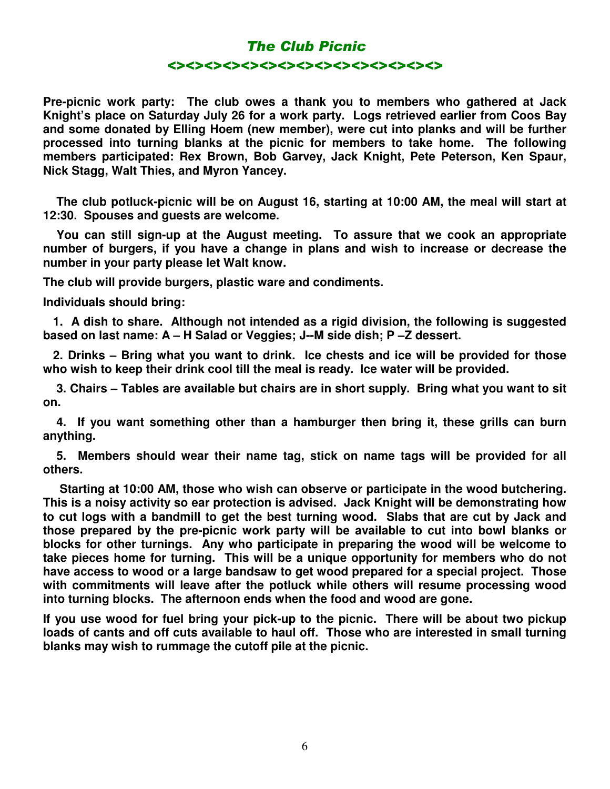# The Club Picnic <><><><><><><><><><><><><><><>

**Pre-picnic work party: The club owes a thank you to members who gathered at Jack Knight's place on Saturday July 26 for a work party. Logs retrieved earlier from Coos Bay and some donated by Elling Hoem (new member), were cut into planks and will be further processed into turning blanks at the picnic for members to take home. The following members participated: Rex Brown, Bob Garvey, Jack Knight, Pete Peterson, Ken Spaur, Nick Stagg, Walt Thies, and Myron Yancey.**

 **The club potluck-picnic will be on August 16, starting at 10:00 AM, the meal will start at 12:30. Spouses and guests are welcome.** 

 **You can still sign-up at the August meeting. To assure that we cook an appropriate number of burgers, if you have a change in plans and wish to increase or decrease the number in your party please let Walt know.** 

**The club will provide burgers, plastic ware and condiments.** 

**Individuals should bring:** 

 **1. A dish to share. Although not intended as a rigid division, the following is suggested based on last name: A – H Salad or Veggies; J--M side dish; P –Z dessert.** 

 **2. Drinks – Bring what you want to drink. Ice chests and ice will be provided for those who wish to keep their drink cool till the meal is ready. Ice water will be provided.** 

 **3. Chairs – Tables are available but chairs are in short supply. Bring what you want to sit on.** 

 **4. If you want something other than a hamburger then bring it, these grills can burn anything.** 

 **5. Members should wear their name tag, stick on name tags will be provided for all others.** 

 **Starting at 10:00 AM, those who wish can observe or participate in the wood butchering. This is a noisy activity so ear protection is advised. Jack Knight will be demonstrating how to cut logs with a bandmill to get the best turning wood. Slabs that are cut by Jack and those prepared by the pre-picnic work party will be available to cut into bowl blanks or blocks for other turnings. Any who participate in preparing the wood will be welcome to take pieces home for turning. This will be a unique opportunity for members who do not have access to wood or a large bandsaw to get wood prepared for a special project. Those with commitments will leave after the potluck while others will resume processing wood into turning blocks. The afternoon ends when the food and wood are gone.** 

**If you use wood for fuel bring your pick-up to the picnic. There will be about two pickup loads of cants and off cuts available to haul off. Those who are interested in small turning blanks may wish to rummage the cutoff pile at the picnic.**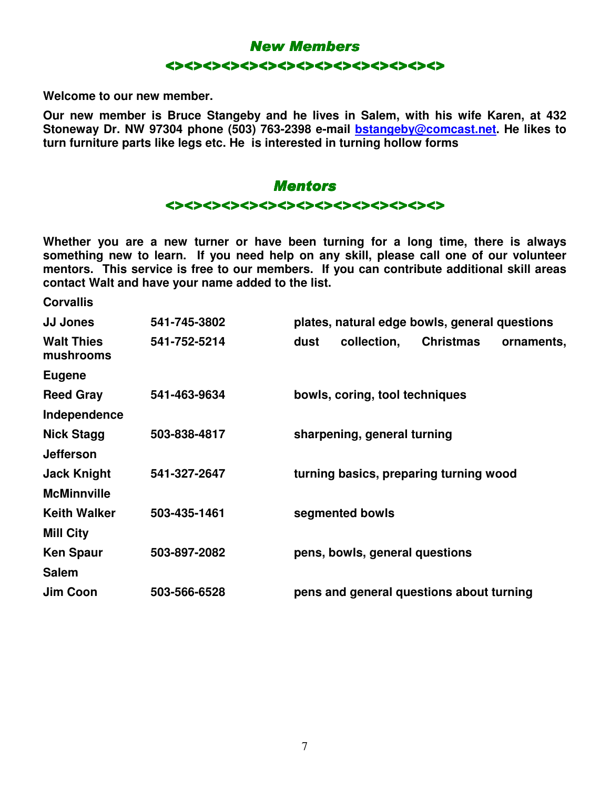

**Welcome to our new member.** 

**Our new member is Bruce Stangeby and he lives in Salem, with his wife Karen, at 432 Stoneway Dr. NW 97304 phone (503) 763-2398 e-mail bstangeby@comcast.net. He likes to turn furniture parts like legs etc. He is interested in turning hollow forms** 



**Whether you are a new turner or have been turning for a long time, there is always something new to learn. If you need help on any skill, please call one of our volunteer mentors. This service is free to our members. If you can contribute additional skill areas contact Walt and have your name added to the list.** 

**Corvallis** 

| 541-745-3802 | plates, natural edge bowls, general questions         |  |
|--------------|-------------------------------------------------------|--|
| 541-752-5214 | collection,<br><b>Christmas</b><br>dust<br>ornaments, |  |
|              |                                                       |  |
| 541-463-9634 | bowls, coring, tool techniques                        |  |
|              |                                                       |  |
| 503-838-4817 | sharpening, general turning                           |  |
|              |                                                       |  |
| 541-327-2647 | turning basics, preparing turning wood                |  |
|              |                                                       |  |
| 503-435-1461 | segmented bowls                                       |  |
|              |                                                       |  |
| 503-897-2082 | pens, bowls, general questions                        |  |
|              |                                                       |  |
| 503-566-6528 | pens and general questions about turning              |  |
|              |                                                       |  |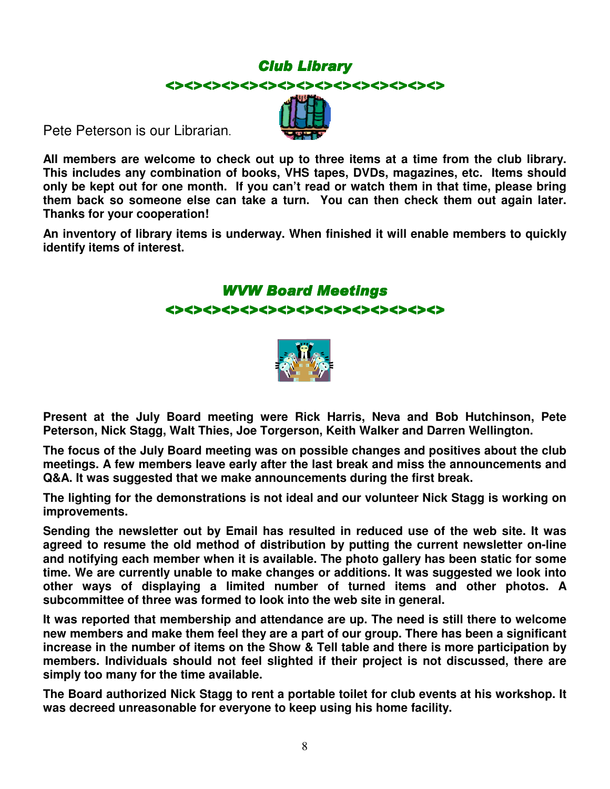# **Club Library** <><><><><><><><><><><><><><><>

Pete Peterson is our Librarian.

**All members are welcome to check out up to three items at a time from the club library. This includes any combination of books, VHS tapes, DVDs, magazines, etc. Items should only be kept out for one month. If you can't read or watch them in that time, please bring them back so someone else can take a turn. You can then check them out again later. Thanks for your cooperation!** 

**An inventory of library items is underway. When finished it will enable members to quickly identify items of interest.** 

# WVW Board Meetings

#### <><><><><><><><><><><><><><><>



**Present at the July Board meeting were Rick Harris, Neva and Bob Hutchinson, Pete Peterson, Nick Stagg, Walt Thies, Joe Torgerson, Keith Walker and Darren Wellington.** 

**The focus of the July Board meeting was on possible changes and positives about the club meetings. A few members leave early after the last break and miss the announcements and Q&A. It was suggested that we make announcements during the first break.** 

**The lighting for the demonstrations is not ideal and our volunteer Nick Stagg is working on improvements.** 

**Sending the newsletter out by Email has resulted in reduced use of the web site. It was agreed to resume the old method of distribution by putting the current newsletter on-line and notifying each member when it is available. The photo gallery has been static for some time. We are currently unable to make changes or additions. It was suggested we look into other ways of displaying a limited number of turned items and other photos. A subcommittee of three was formed to look into the web site in general.** 

**It was reported that membership and attendance are up. The need is still there to welcome new members and make them feel they are a part of our group. There has been a significant increase in the number of items on the Show & Tell table and there is more participation by members. Individuals should not feel slighted if their project is not discussed, there are simply too many for the time available.** 

**The Board authorized Nick Stagg to rent a portable toilet for club events at his workshop. It was decreed unreasonable for everyone to keep using his home facility.**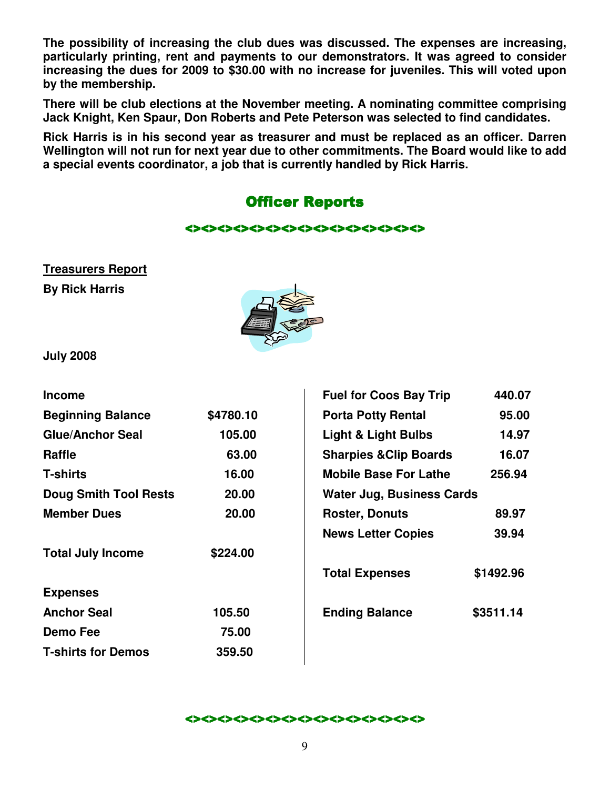**The possibility of increasing the club dues was discussed. The expenses are increasing, particularly printing, rent and payments to our demonstrators. It was agreed to consider increasing the dues for 2009 to \$30.00 with no increase for juveniles. This will voted upon by the membership.** 

**There will be club elections at the November meeting. A nominating committee comprising Jack Knight, Ken Spaur, Don Roberts and Pete Peterson was selected to find candidates.** 

**Rick Harris is in his second year as treasurer and must be replaced as an officer. Darren Wellington will not run for next year due to other commitments. The Board would like to add a special events coordinator, a job that is currently handled by Rick Harris.** 

# **Officer Reports**

#### <><><><><><><><><><><><><><><> <><><><><><><><><><><><><><><>

# **Treasurers Report**

**By Rick Harris** 



**July 2008** 

| <b>Income</b>                |           | <b>Fuel for Coos Bay Trip</b>              | 440.07    |
|------------------------------|-----------|--------------------------------------------|-----------|
| <b>Beginning Balance</b>     | \$4780.10 | 95.00<br><b>Porta Potty Rental</b>         |           |
| <b>Glue/Anchor Seal</b>      | 105.00    | <b>Light &amp; Light Bulbs</b><br>14.97    |           |
| <b>Raffle</b>                | 63.00     | <b>Sharpies &amp; Clip Boards</b><br>16.07 |           |
| <b>T-shirts</b>              | 16.00     | <b>Mobile Base For Lathe</b><br>256.94     |           |
| <b>Doug Smith Tool Rests</b> | 20.00     | <b>Water Jug, Business Cards</b>           |           |
| <b>Member Dues</b>           | 20.00     | <b>Roster, Donuts</b>                      | 89.97     |
|                              |           | <b>News Letter Copies</b>                  | 39.94     |
| <b>Total July Income</b>     | \$224.00  |                                            |           |
|                              |           | <b>Total Expenses</b>                      | \$1492.96 |
| <b>Expenses</b>              |           |                                            |           |
| <b>Anchor Seal</b>           | 105.50    | <b>Ending Balance</b>                      | \$3511.14 |
| Demo Fee                     | 75.00     |                                            |           |
| <b>T-shirts for Demos</b>    | 359.50    |                                            |           |
|                              |           |                                            |           |

#### <><><><><><><><><><><><><><><>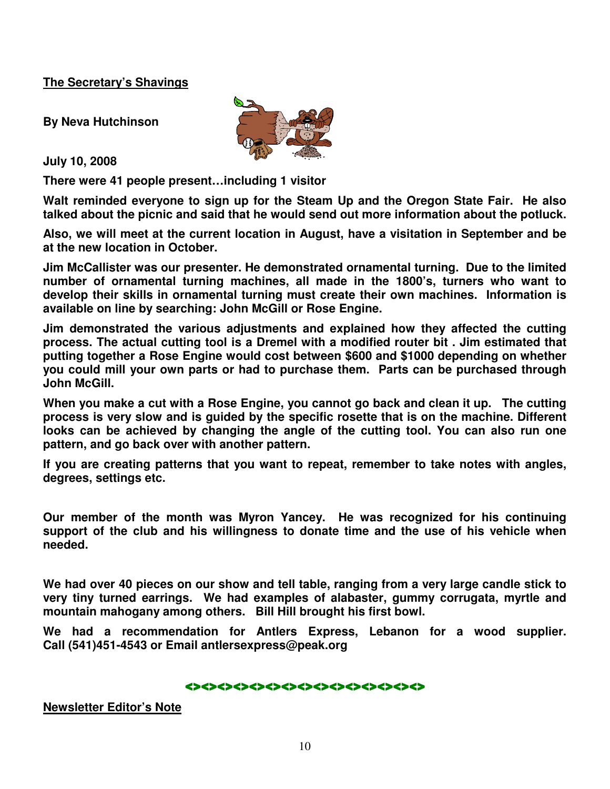#### **The Secretary's Shavings**

**By Neva Hutchinson** 

**July 10, 2008** 

**There were 41 people present…including 1 visitor** 

**Walt reminded everyone to sign up for the Steam Up and the Oregon State Fair. He also talked about the picnic and said that he would send out more information about the potluck.** 

**Also, we will meet at the current location in August, have a visitation in September and be at the new location in October.** 

**Jim McCallister was our presenter. He demonstrated ornamental turning. Due to the limited number of ornamental turning machines, all made in the 1800's, turners who want to develop their skills in ornamental turning must create their own machines. Information is available on line by searching: John McGill or Rose Engine.** 

**Jim demonstrated the various adjustments and explained how they affected the cutting process. The actual cutting tool is a Dremel with a modified router bit . Jim estimated that putting together a Rose Engine would cost between \$600 and \$1000 depending on whether you could mill your own parts or had to purchase them. Parts can be purchased through John McGill.** 

**When you make a cut with a Rose Engine, you cannot go back and clean it up. The cutting process is very slow and is guided by the specific rosette that is on the machine. Different looks can be achieved by changing the angle of the cutting tool. You can also run one pattern, and go back over with another pattern.** 

**If you are creating patterns that you want to repeat, remember to take notes with angles, degrees, settings etc.** 

**Our member of the month was Myron Yancey. He was recognized for his continuing support of the club and his willingness to donate time and the use of his vehicle when needed.** 

**We had over 40 pieces on our show and tell table, ranging from a very large candle stick to very tiny turned earrings. We had examples of alabaster, gummy corrugata, myrtle and mountain mahogany among others. Bill Hill brought his first bowl.** 

**We had a recommendation for Antlers Express, Lebanon for a wood supplier. Call (541)451-4543 or Email antlersexpress@peak.org**

<><><><><><><><><><><><><><><>

**Newsletter Editor's Note**